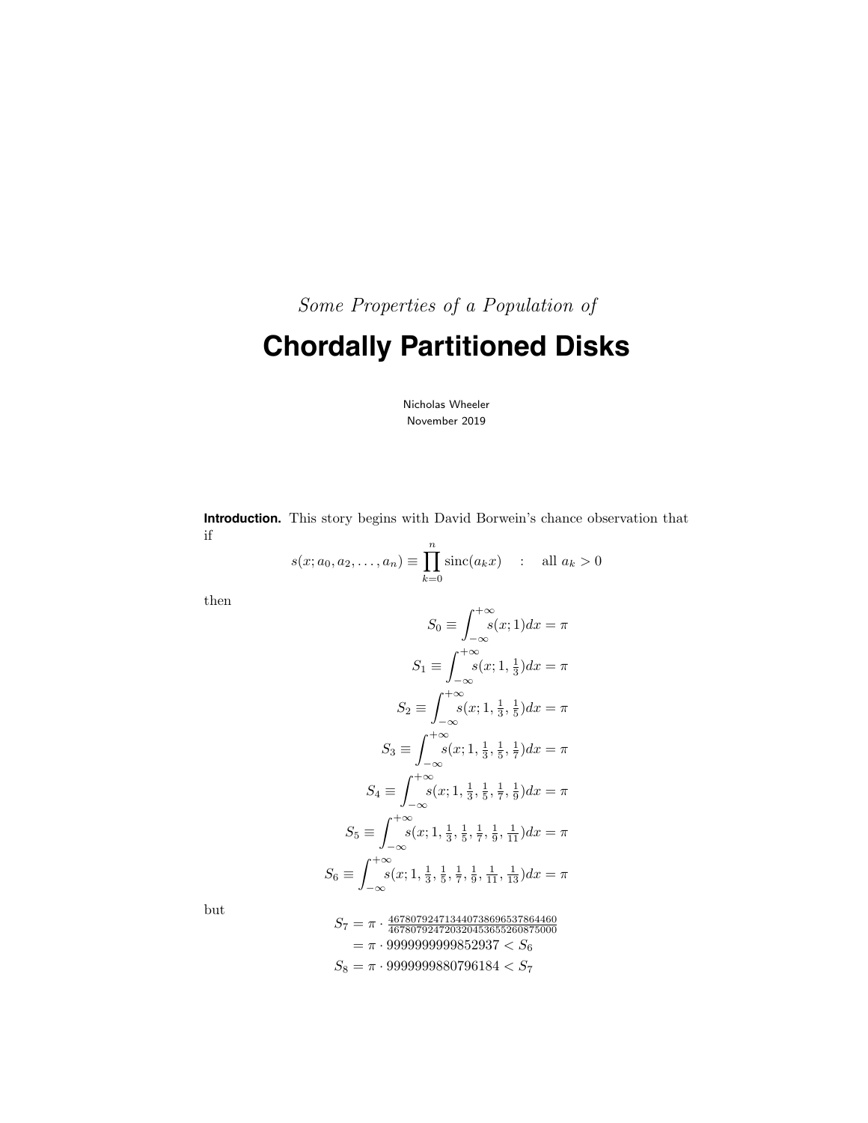Some Properties of a Population of

# **Chordally Partitioned Disks**

Nicholas Wheeler November 2019

**Introduction.** This story begins with David Borwein's chance observation that if

$$
s(x; a_0, a_2,..., a_n) \equiv \prod_{k=0}^{n} \text{sinc}(a_k x)
$$
 : all  $a_k > 0$ 

then

$$
S_0 \equiv \int_{-\infty}^{+\infty} s(x; 1) dx = \pi
$$
  
\n
$$
S_1 \equiv \int_{-\infty}^{+\infty} s(x; 1, \frac{1}{3}) dx = \pi
$$
  
\n
$$
S_2 \equiv \int_{-\infty}^{+\infty} s(x; 1, \frac{1}{3}, \frac{1}{5}) dx = \pi
$$
  
\n
$$
S_3 \equiv \int_{-\infty}^{+\infty} s(x; 1, \frac{1}{3}, \frac{1}{5}, \frac{1}{7}) dx = \pi
$$
  
\n
$$
S_4 \equiv \int_{-\infty}^{+\infty} s(x; 1, \frac{1}{3}, \frac{1}{5}, \frac{1}{7}, \frac{1}{9}) dx = \pi
$$
  
\n
$$
S_5 \equiv \int_{-\infty}^{+\infty} s(x; 1, \frac{1}{3}, \frac{1}{5}, \frac{1}{7}, \frac{1}{9}, \frac{1}{11}) dx = \pi
$$
  
\n
$$
S_6 \equiv \int_{-\infty}^{+\infty} s(x; 1, \frac{1}{3}, \frac{1}{5}, \frac{1}{7}, \frac{1}{9}, \frac{1}{11}, \frac{1}{13}) dx = \pi
$$

but

$$
\begin{aligned} S_7 & = \pi \cdot \frac{467807924713440738696537864460}{467807924720320453655260875000} \\ & = \pi \cdot 999999999852937 < S_6 \\ S_8 & = \pi \cdot 9999999880796184 < S_7 \end{aligned}
$$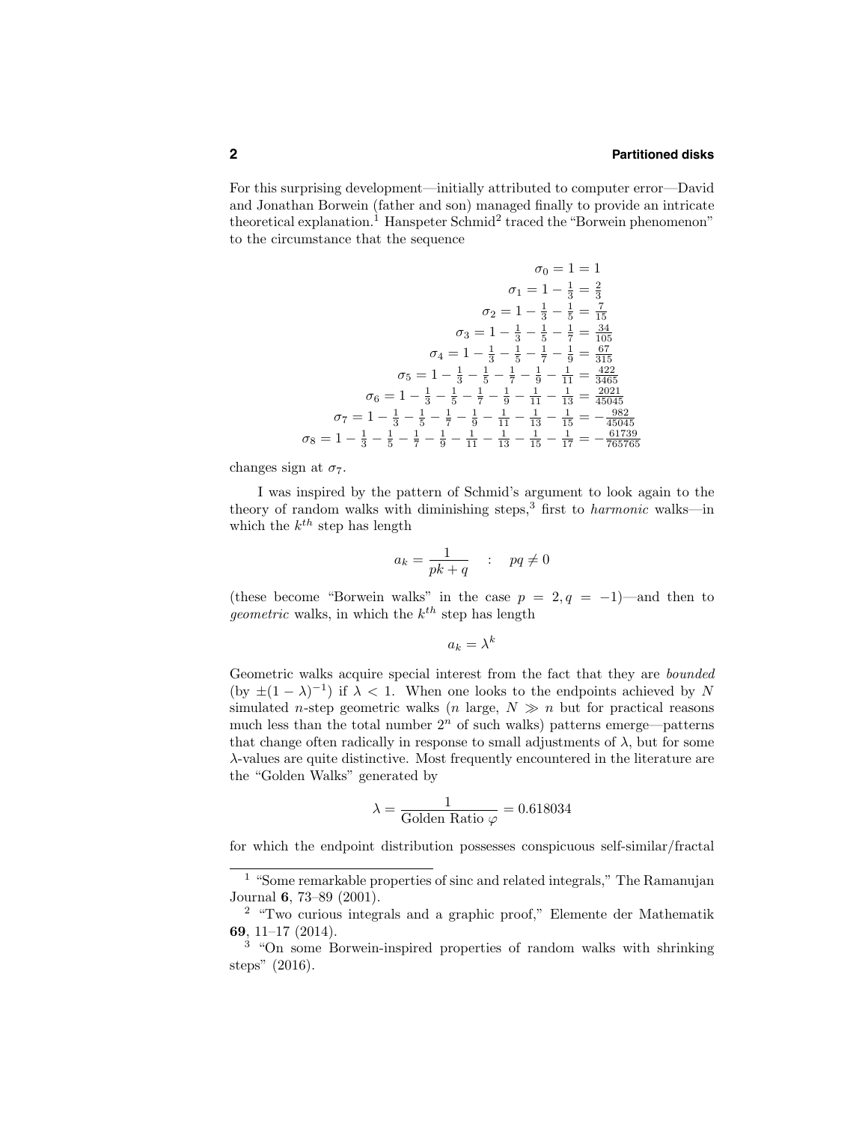For this surprising development—initially attributed to computer error—David and Jonathan Borwein (father and son) managed finally to provide an intricate theoretical explanation.<sup>1</sup> Hanspeter Schmid<sup>2</sup> traced the "Borwein phenomenon" to the circumstance that the sequence

$$
\sigma_0 = 1 = 1
$$
  
\n
$$
\sigma_1 = 1 - \frac{1}{3} = \frac{2}{3}
$$
  
\n
$$
\sigma_2 = 1 - \frac{1}{3} - \frac{1}{5} = \frac{7}{15}
$$
  
\n
$$
\sigma_3 = 1 - \frac{1}{3} - \frac{1}{5} - \frac{1}{7} = \frac{34}{105}
$$
  
\n
$$
\sigma_4 = 1 - \frac{1}{3} - \frac{1}{5} - \frac{1}{7} - \frac{1}{9} = \frac{67}{315}
$$
  
\n
$$
\sigma_5 = 1 - \frac{1}{3} - \frac{1}{5} - \frac{1}{7} - \frac{1}{9} - \frac{1}{11} = \frac{422}{3465}
$$
  
\n
$$
\sigma_6 = 1 - \frac{1}{3} - \frac{1}{5} - \frac{1}{7} - \frac{1}{9} - \frac{1}{11} - \frac{1}{13} = \frac{2021}{45045}
$$
  
\n
$$
\sigma_7 = 1 - \frac{1}{3} - \frac{1}{5} - \frac{1}{7} - \frac{1}{9} - \frac{1}{11} - \frac{1}{13} - \frac{1}{15} = -\frac{6129}{45045}
$$
  
\n
$$
\sigma_8 = 1 - \frac{1}{3} - \frac{1}{5} - \frac{1}{7} - \frac{1}{9} - \frac{1}{11} - \frac{1}{13} - \frac{1}{15} - \frac{1}{17} = -\frac{61739}{665765}
$$

changes sign at  $\sigma_7$ .

I was inspired by the pattern of Schmid's argument to look again to the theory of random walks with diminishing steps,<sup>3</sup> first to *harmonic* walks—in which the  $k^{th}$  step has length

$$
a_k = \frac{1}{pk + q} \quad : \quad pq \neq 0
$$

(these become "Borwein walks" in the case  $p = 2, q = -1$ )—and then to *geometric* walks, in which the  $k^{th}$  step has length

$$
a_k = \lambda^k
$$

Geometric walks acquire special interest from the fact that they are bounded (by  $\pm(1-\lambda)^{-1}$ ) if  $\lambda < 1$ . When one looks to the endpoints achieved by N simulated *n*-step geometric walks (*n* large,  $N \gg n$  but for practical reasons much less than the total number  $2<sup>n</sup>$  of such walks) patterns emerge—patterns that change often radically in response to small adjustments of  $\lambda$ , but for some λ-values are quite distinctive. Most frequently encountered in the literature are the "Golden Walks" generated by

$$
\lambda = \frac{1}{\text{Golden Ratio }\varphi} = 0.618034
$$

for which the endpoint distribution possesses conspicuous self-similar/fractal

<sup>1</sup> "Some remarkable properties of sinc and related integrals," The Ramanujan Journal 6, 73–89 (2001).

<sup>2</sup> "Two curious integrals and a graphic proof," Elemente der Mathematik 69, 11–17 (2014).

<sup>3</sup> "On some Borwein-inspired properties of random walks with shrinking steps" (2016).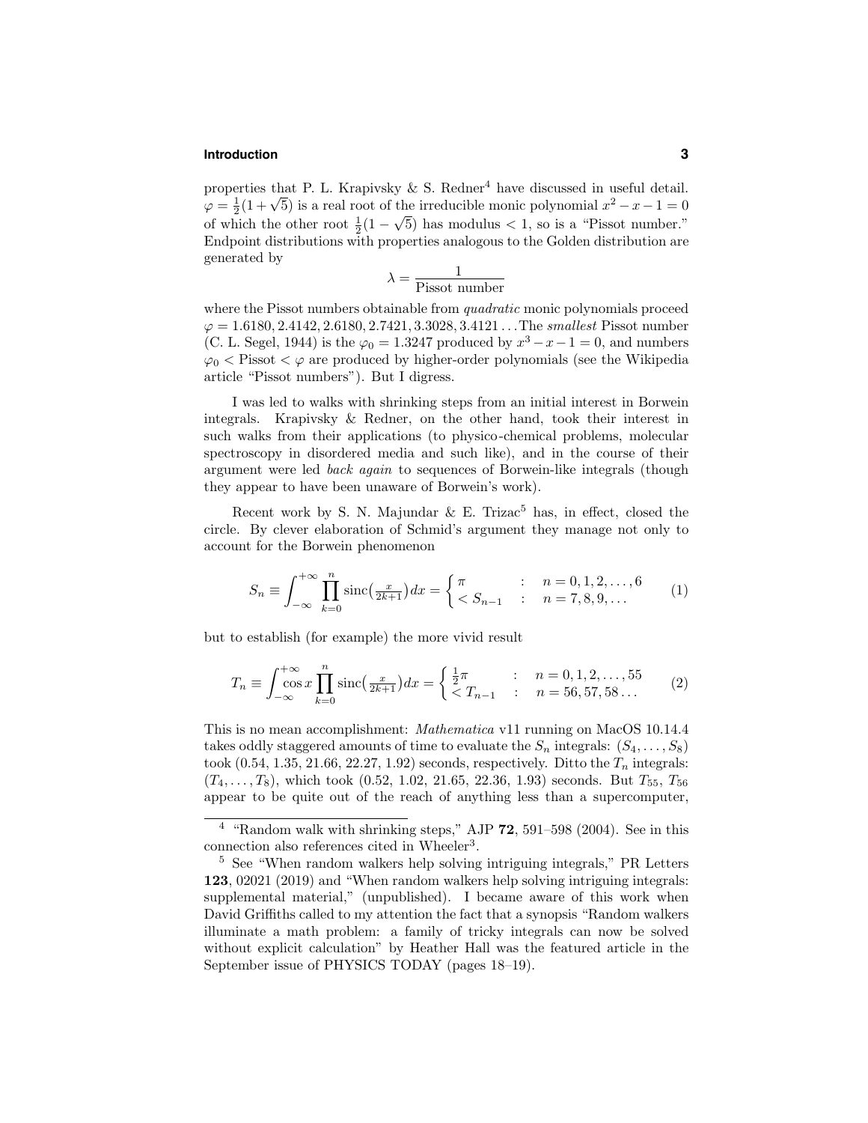#### **Introduction 3**

properties that P. L. Krapivsky  $\&$  S. Redner<sup>4</sup> have discussed in useful detail.  $\varphi = \frac{1}{2}(1 + \sqrt{5})$  is a real root of the irreducible monic polynomial  $x^2 - x - 1 = 0$ of which the other root  $\frac{1}{2}(1-\sqrt{5})$  has modulus < 1, so is a "Pissot number." Endpoint distributions with properties analogous to the Golden distribution are generated by

$$
\lambda = \frac{1}{\text{Pissot number}}
$$

where the Pissot numbers obtainable from *quadratic* monic polynomials proceed  $\varphi = 1.6180, 2.4142, 2.6180, 2.7421, 3.3028, 3.4121...$  The smallest Pissot number (C. L. Segel, 1944) is the  $\varphi_0 = 1.3247$  produced by  $x^3 - x - 1 = 0$ , and numbers  $\varphi_0$  < Pissot <  $\varphi$  are produced by higher-order polynomials (see the Wikipedia article "Pissot numbers"). But I digress.

I was led to walks with shrinking steps from an initial interest in Borwein integrals. Krapivsky & Redner, on the other hand, took their interest in such walks from their applications (to physico-chemical problems, molecular spectroscopy in disordered media and such like), and in the course of their argument were led back again to sequences of Borwein-like integrals (though they appear to have been unaware of Borwein's work).

Recent work by S. N. Majundar  $\&$  E. Trizac<sup>5</sup> has, in effect, closed the circle. By clever elaboration of Schmid's argument they manage not only to account for the Borwein phenomenon

$$
S_n \equiv \int_{-\infty}^{+\infty} \prod_{k=0}^n \text{sinc}\left(\frac{x}{2k+1}\right) dx = \begin{cases} \pi & : n = 0, 1, 2, \dots, 6\\ & : n = 7, 8, 9, \dots \end{cases} \tag{1}
$$

but to establish (for example) the more vivid result

$$
T_n \equiv \int_{-\infty}^{+\infty} \cos x \prod_{k=0}^n \mathrm{sinc}\left(\frac{x}{2k+1}\right) dx = \begin{cases} \frac{1}{2}\pi & : n = 0, 1, 2, \dots, 55\\ & : n = 56, 57, 58 \dots \end{cases} \tag{2}
$$

This is no mean accomplishment: Mathematica v11 running on MacOS 10.14.4 takes oddly staggered amounts of time to evaluate the  $S_n$  integrals:  $(S_4, \ldots, S_8)$ took  $(0.54, 1.35, 21.66, 22.27, 1.92)$  seconds, respectively. Ditto the  $T_n$  integrals:  $(T_4, \ldots, T_8)$ , which took  $(0.52, 1.02, 21.65, 22.36, 1.93)$  seconds. But  $T_{55}$ ,  $T_{56}$ appear to be quite out of the reach of anything less than a supercomputer,

<sup>&</sup>lt;sup>4</sup> "Random walk with shrinking steps," AJP 72, 591–598 (2004). See in this connection also references cited in Wheeler<sup>3</sup>.

<sup>5</sup> See "When random walkers help solving intriguing integrals," PR Letters 123, 02021 (2019) and "When random walkers help solving intriguing integrals: supplemental material," (unpublished). I became aware of this work when David Griffiths called to my attention the fact that a synopsis "Random walkers illuminate a math problem: a family of tricky integrals can now be solved without explicit calculation" by Heather Hall was the featured article in the September issue of PHYSICS TODAY (pages 18–19).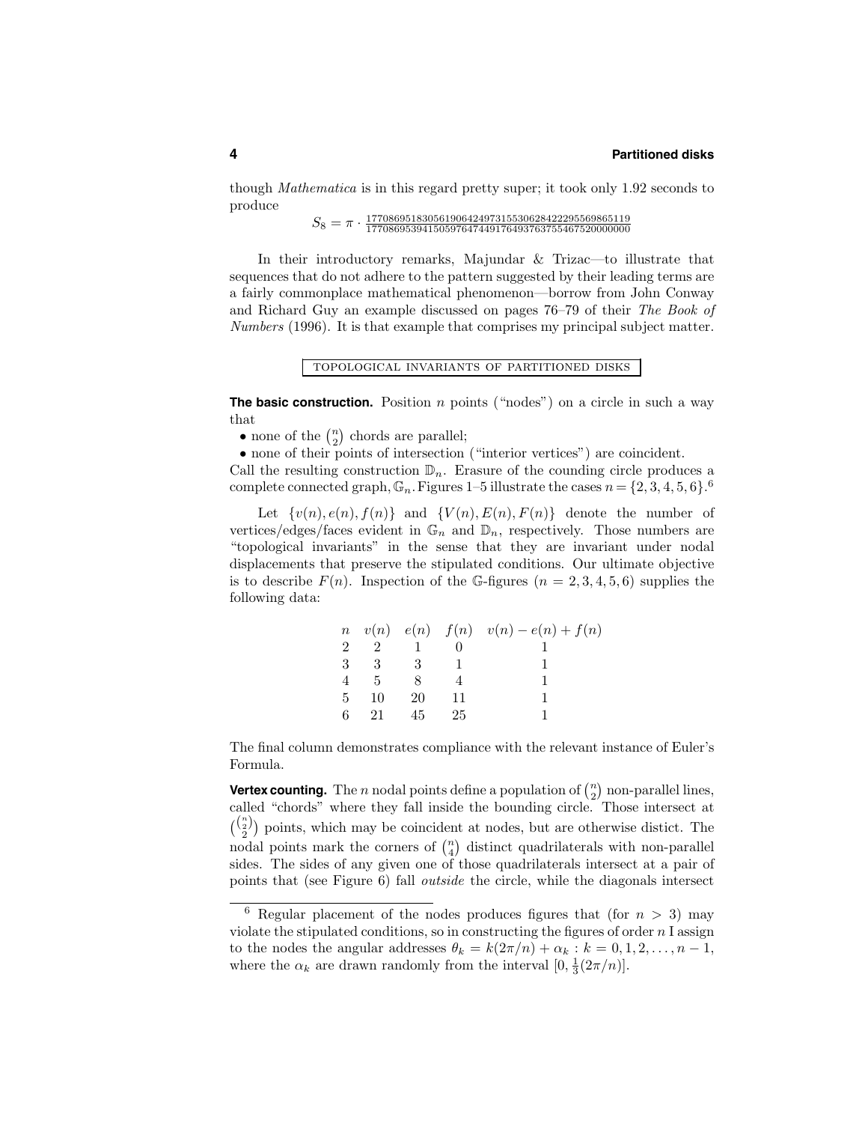though Mathematica is in this regard pretty super; it took only 1.92 seconds to produce

 $S_8 = \pi \cdot \frac{17708695183056190642497315530628422295569865119}{17708695394150597647449176493763755467520000000}$ 

In their introductory remarks, Majundar & Trizac—to illustrate that sequences that do not adhere to the pattern suggested by their leading terms are a fairly commonplace mathematical phenomenon—borrow from John Conway and Richard Guy an example discussed on pages 76–79 of their The Book of Numbers (1996). It is that example that comprises my principal subject matter.

topological invariants of partitioned disks

**The basic construction.** Position *n* points ("nodes") on a circle in such a way that

• none of the  $\binom{n}{2}$  chords are parallel;

• none of their points of intersection ("interior vertices") are coincident.

Call the resulting construction  $\mathbb{D}_n$ . Erasure of the counding circle produces a complete connected graph,  $\mathbb{G}_n$ . Figures 1–5 illustrate the cases  $n = \{2, 3, 4, 5, 6\}$ .

Let  $\{v(n), e(n), f(n)\}$  and  $\{V(n), E(n), F(n)\}$  denote the number of vertices/edges/faces evident in  $\mathbb{G}_n$  and  $\mathbb{D}_n$ , respectively. Those numbers are "topological invariants" in the sense that they are invariant under nodal displacements that preserve the stipulated conditions. Our ultimate objective is to describe  $F(n)$ . Inspection of the G-figures  $(n = 2, 3, 4, 5, 6)$  supplies the following data:

|   |    |     |    | $n \quad v(n) \quad e(n) \quad f(n) \quad v(n) - e(n) + f(n)$ |
|---|----|-----|----|---------------------------------------------------------------|
| 2 |    |     |    |                                                               |
| 3 | 3  | - 3 |    |                                                               |
|   | -5 | я   |    |                                                               |
| 5 | 10 | 20  |    |                                                               |
| б | 21 | 45  | 25 |                                                               |

The final column demonstrates compliance with the relevant instance of Euler's Formula.

**Vertex counting.** The *n* nodal points define a population of  $\binom{n}{2}$  non-parallel lines, called "chords" where they fall inside the bounding circle. Those intersect at  $\binom{\binom{n}{2}}{2}$  points, which may be coincident at nodes, but are otherwise distict. The nodal points mark the corners of  $\binom{n}{4}$  distinct quadrilaterals with non-parallel sides. The sides of any given one of those quadrilaterals intersect at a pair of points that (see Figure 6) fall outside the circle, while the diagonals intersect

<sup>&</sup>lt;sup>6</sup> Regular placement of the nodes produces figures that (for  $n > 3$ ) may violate the stipulated conditions, so in constructing the figures of order  $n \leq 1$  assign to the nodes the angular addresses  $\theta_k = k(2\pi/n) + \alpha_k : k = 0, 1, 2, \ldots, n-1$ , where the  $\alpha_k$  are drawn randomly from the interval  $[0, \frac{1}{3}(2\pi/n)].$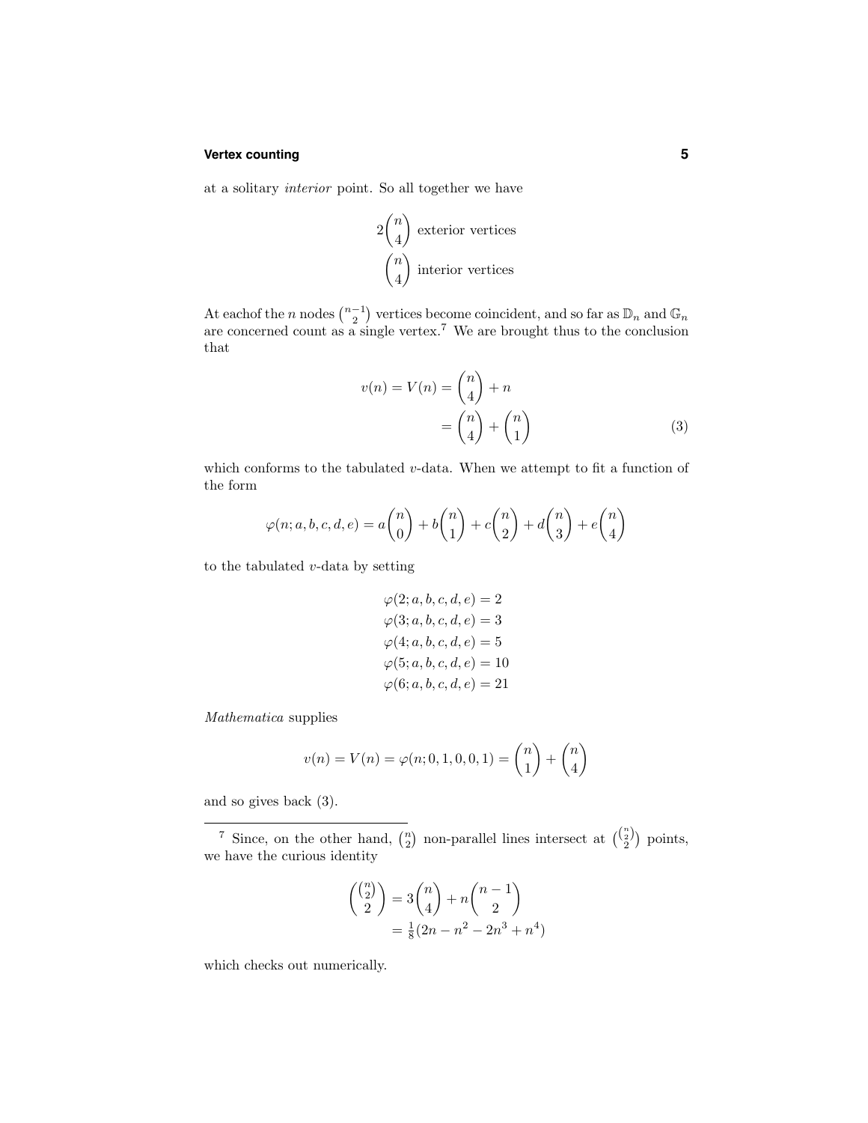## **Vertex counting 5**

at a solitary interior point. So all together we have

$$
2\binom{n}{4}
$$
 exterior vertices  

$$
\binom{n}{4}
$$
 interior vertices

At eachof the n nodes  $\binom{n-1}{2}$  vertices become coincident, and so far as  $\mathbb{D}_n$  and  $\mathbb{G}_n$ are concerned count as a single vertex.<sup>7</sup> We are brought thus to the conclusion that

$$
v(n) = V(n) = \binom{n}{4} + n
$$

$$
= \binom{n}{4} + \binom{n}{1}
$$
(3)

which conforms to the tabulated  $v$ -data. When we attempt to fit a function of the form

$$
\varphi(n;a,b,c,d,e) = a \binom{n}{0} + b \binom{n}{1} + c \binom{n}{2} + d \binom{n}{3} + e \binom{n}{4}
$$

to the tabulated  $v$ -data by setting

$$
\varphi(2; a, b, c, d, e) = 2 \n\varphi(3; a, b, c, d, e) = 3 \n\varphi(4; a, b, c, d, e) = 5 \n\varphi(5; a, b, c, d, e) = 10 \n\varphi(6; a, b, c, d, e) = 21
$$

Mathematica supplies

$$
v(n) = V(n) = \varphi(n; 0, 1, 0, 0, 1) = \binom{n}{1} + \binom{n}{4}
$$

and so gives back (3).

<sup>7</sup> Since, on the other hand,  $\binom{n}{2}$  non-parallel lines intersect at  $\binom{\binom{n}{2}}{2}$  points, we have the curious identity

$$
\binom{\binom{n}{2}}{2} = 3\binom{n}{4} + n\binom{n-1}{2}
$$

$$
= \frac{1}{8}(2n - n^2 - 2n^3 + n^4)
$$

which checks out numerically.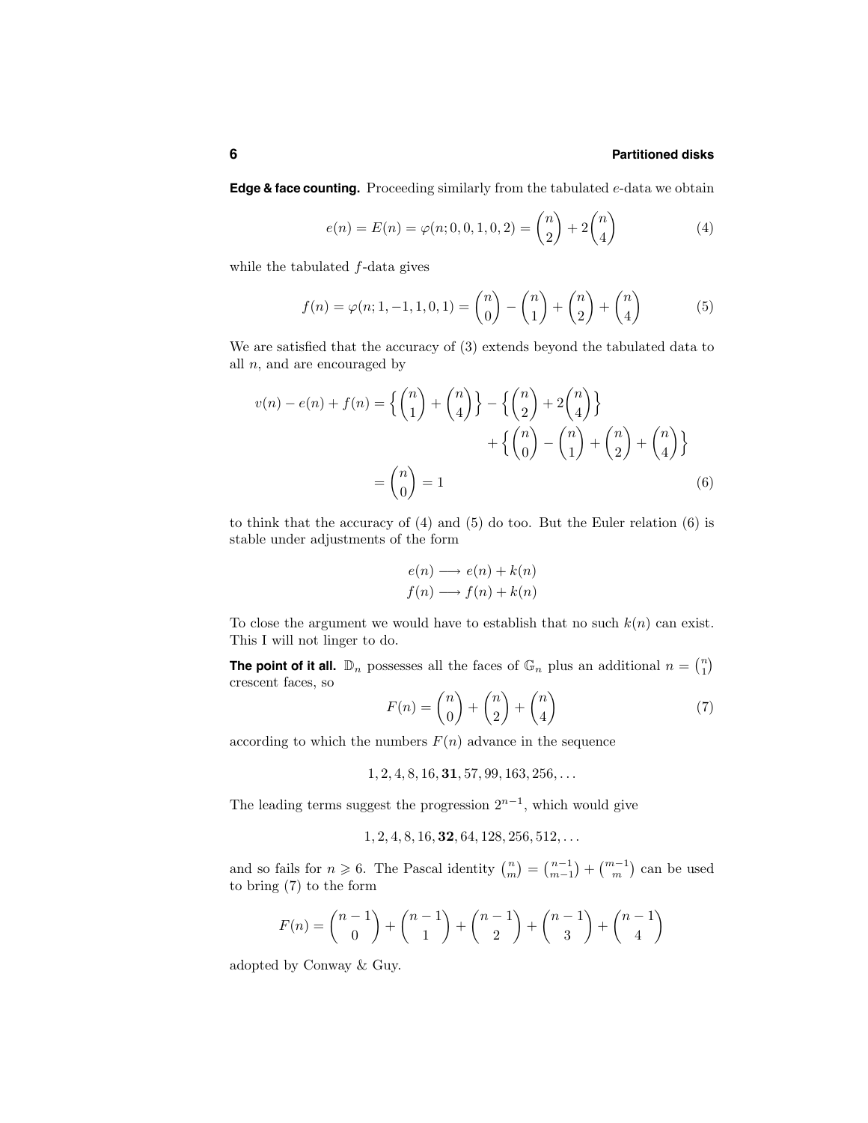#### **6 Partitioned disks**

**Edge & face counting.** Proceeding similarly from the tabulated e-data we obtain

$$
e(n) = E(n) = \varphi(n; 0, 0, 1, 0, 2) = \binom{n}{2} + 2\binom{n}{4} \tag{4}
$$

while the tabulated  $f$ -data gives

$$
f(n) = \varphi(n; 1, -1, 1, 0, 1) = {n \choose 0} - {n \choose 1} + {n \choose 2} + {n \choose 4}
$$
(5)

We are satisfied that the accuracy of (3) extends beyond the tabulated data to all  $n$ , and are encouraged by

$$
v(n) - e(n) + f(n) = \left\{ {n \choose 1} + {n \choose 4} \right\} - \left\{ {n \choose 2} + 2 {n \choose 4} \right\} + \left\{ {n \choose 0} - {n \choose 1} + {n \choose 2} + {n \choose 4} \right\}
$$

$$
= {n \choose 0} = 1
$$
(6)

to think that the accuracy of (4) and (5) do too. But the Euler relation (6) is stable under adjustments of the form

$$
e(n) \longrightarrow e(n) + k(n)
$$
  

$$
f(n) \longrightarrow f(n) + k(n)
$$

To close the argument we would have to establish that no such  $k(n)$  can exist. This I will not linger to do.

**The point of it all.**  $\mathbb{D}_n$  possesses all the faces of  $\mathbb{G}_n$  plus an additional  $n = \binom{n}{1}$ crescent faces, so &n &n

$$
F(n) = \binom{n}{0} + \binom{n}{2} + \binom{n}{4} \tag{7}
$$

according to which the numbers  $F(n)$  advance in the sequence

 $1, 2, 4, 8, 16, 31, 57, 99, 163, 256, \ldots$ 

The leading terms suggest the progression  $2^{n-1}$ , which would give

 $1, 2, 4, 8, 16, 32, 64, 128, 256, 512, \ldots$ 

and so fails for  $n \ge 6$ . The Pascal identity  $\binom{n}{m} = \binom{n-1}{m-1} + \binom{m-1}{m}$  can be used to bring (7) to the form

$$
F(n) = {n-1 \choose 0} + {n-1 \choose 1} + {n-1 \choose 2} + {n-1 \choose 3} + {n-1 \choose 4}
$$

adopted by Conway & Guy.